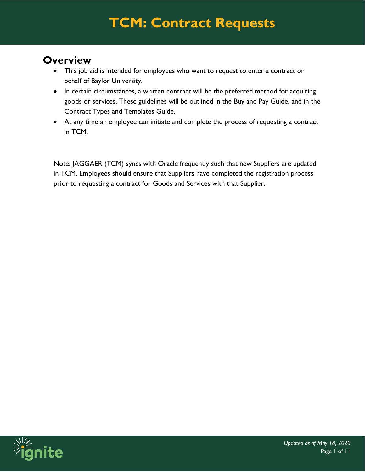#### **Overview**

- This job aid is intended for employees who want to request to enter a contract on behalf of Baylor University.
- In certain circumstances, a written contract will be the preferred method for acquiring goods or services. These guidelines will be outlined in the Buy and Pay Guide, and in the Contract Types and Templates Guide.
- At any time an employee can initiate and complete the process of requesting a contract in TCM.

Note: JAGGAER (TCM) syncs with Oracle frequently such that new Suppliers are updated in TCM. Employees should ensure that Suppliers have completed the registration process prior to requesting a contract for Goods and Services with that Supplier.

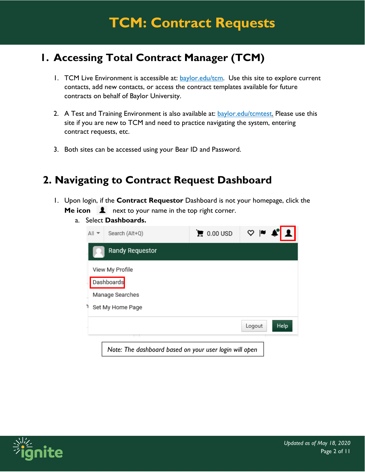#### **1. Accessing Total Contract Manager (TCM)**

- 1. TCM Live Environment is accessible at: **baylor.edu/tcm.** Use this site to explore current contacts, add new contacts, or access the contract templates available for future contracts on behalf of Baylor University.
- 2. A Test and Training Environment is also available at: **baylor.edu/tcmtest. Please use this** site if you are new to TCM and need to practice navigating the system, entering contract requests, etc.
- 3. Both sites can be accessed using your Bear ID and Password.

#### **2. Navigating to Contract Request Dashboard**

- 1. Upon login, if the **Contract Requestor** Dashboard is not your homepage, click the **Me icon 1** next to your name in the top right corner.
	- a. Select **Dashboards.**



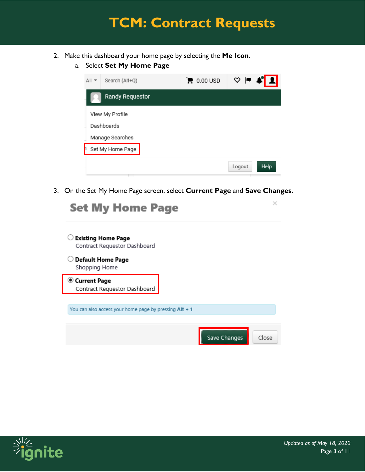- 2. Make this dashboard your home page by selecting the **Me Icon**.
	- a. Select **Set My Home Page**

| Search (Alt+Q)<br>$All -$ | $\mathbf{E}$ 0.00 USD | $\mathbf{A}$<br>♡  ■ ● |
|---------------------------|-----------------------|------------------------|
| Randy Requestor           |                       |                        |
| View My Profile           |                       |                        |
| Dashboards                |                       |                        |
| Manage Searches           |                       |                        |
| Set My Home Page          |                       |                        |
|                           |                       | <b>Help</b><br>Logout  |

3. On the Set My Home Page screen, select **Current Page** and **Save Changes.**

| <b>Set My Home Page</b>                                   |              |       |
|-----------------------------------------------------------|--------------|-------|
| <b>Existing Home Page</b><br>Contract Requestor Dashboard |              |       |
| <b>Default Home Page</b><br>Shopping Home                 |              |       |
| Current Page<br>Contract Requestor Dashboard              |              |       |
| You can also access your home page by pressing Alt + 1    |              |       |
|                                                           | Save Changes | Close |

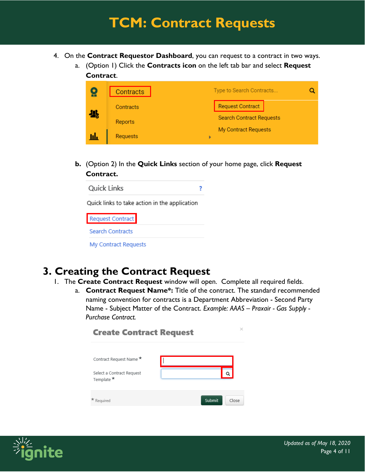- 4. On the **Contract Requestor Dashboard**, you can request to a contract in two ways.
	- a. (Option 1) Click the **Contracts icon** on the left tab bar and select **Request Contract**.

|     | <b>Contracts</b>     | Type to Search Contracts        |
|-----|----------------------|---------------------------------|
| 909 | Contracts            | <b>Request Contract</b>         |
|     | Reports              | <b>Search Contract Requests</b> |
|     | My Contract Requests |                                 |
| hh  | <b>Requests</b>      | ь                               |

**b.** (Option 2) In the **Quick Links** section of your home page, click **Request Contract.** 

| Quick Links |  |
|-------------|--|
|-------------|--|

Quick links to take action in the application

**Request Contract Search Contracts** My Contract Requests

#### **3. Creating the Contract Request**

- 1. The **Create Contract Request** window will open. Complete all required fields.
	- a. **Contract Request Name\*:** Title of the contract. The standard recommended naming convention for contracts is a Department Abbreviation - Second Party Name - Subject Matter of the Contract. *Example: AAAS – Praxair - Gas Supply - Purchase Contract.*



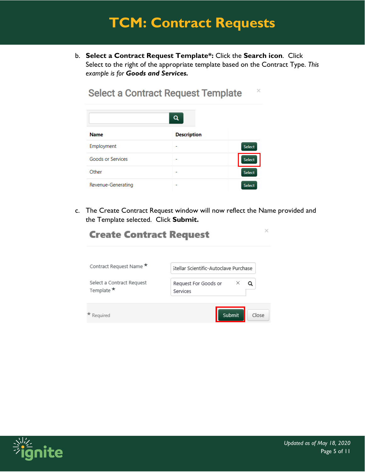b. **Select a Contract Request Template\*:** Click the **Search icon**. Click Select to the right of the appropriate template based on the Contract Type. *This example is for Goods and Services.*

 $\times$ 

| Q                  |                    |               |
|--------------------|--------------------|---------------|
| <b>Name</b>        | <b>Description</b> |               |
| Employment         | -                  | <b>Select</b> |
| Goods or Services  | -                  | <b>Select</b> |
| Other              | -                  | <b>Select</b> |
| Revenue-Generating | -                  | <b>Select</b> |

**Select a Contract Request Template** 

c. The Create Contract Request window will now reflect the Name provided and the Template selected. Click **Submit.**

| <b>Create Contract Request</b>                     |                                       |
|----------------------------------------------------|---------------------------------------|
| Contract Request Name *                            | Stellar Scientific-Autoclave Purchase |
| Select a Contract Request<br>Template <sup>★</sup> | ×<br>Request For Goods or<br>Services |
| Reauired                                           | Submit<br>Close                       |

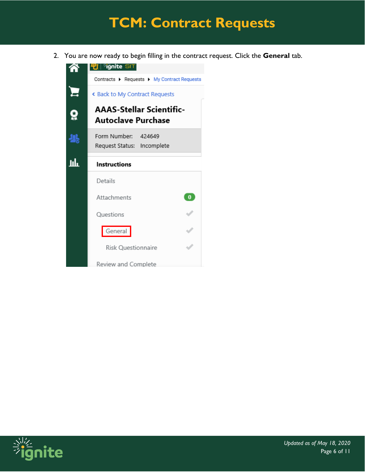2. You are now ready to begin filling in the contract request. Click the **General** tab.



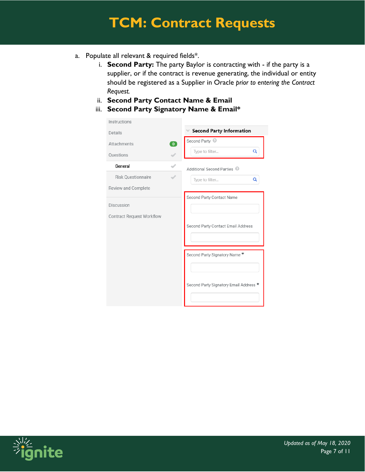- a. Populate all relevant & required fields\*.
	- i. **Second Party:** The party Baylor is contracting with if the party is a supplier, or if the contract is revenue generating, the individual or entity should be registered as a Supplier in Oracle *prior to entering the Contract Request.*
	- ii. **Second Party Contact Name & Email**
	- iii. **Second Party Signatory Name & Email\***

| Instructions                     |                                        |  |
|----------------------------------|----------------------------------------|--|
| Details                          | <b>Second Party Information</b>        |  |
| $\bullet$<br>Attachments         | Second Party @                         |  |
| <b>Questions</b>                 | Q<br>Type to filter                    |  |
| General                          | Additional Second Parties <sup>@</sup> |  |
| <b>Risk Questionnaire</b>        | Q<br>Type to filter                    |  |
| Review and Complete              |                                        |  |
| Discussion                       | Second Party Contact Name              |  |
|                                  |                                        |  |
| <b>Contract Request Workflow</b> | Second Party Contact Email Address     |  |
|                                  |                                        |  |
|                                  | Second Party Signatory Name *          |  |
|                                  |                                        |  |
|                                  | Second Party Signatory Email Address * |  |
|                                  |                                        |  |

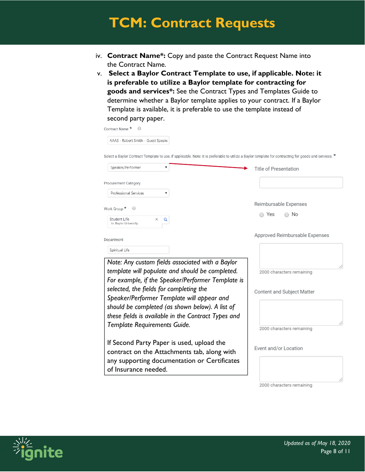- iv. **Contract Name\*:** Copy and paste the Contract Request Name into the Contract Name.
- v. **Select a Baylor Contract Template to use, if applicable. Note: it is preferable to utilize a Baylor template for contracting for goods and services\*:** See the Contract Types and Templates Guide to determine whether a Baylor template applies to your contract. If a Baylor Template is available, it is preferable to use the template instead of second party paper.

| Contract Name *                                                                                                                                                                                                                                                                                      |                                                         |
|------------------------------------------------------------------------------------------------------------------------------------------------------------------------------------------------------------------------------------------------------------------------------------------------------|---------------------------------------------------------|
| AAAS - Robert Smith - Guest Speake                                                                                                                                                                                                                                                                   |                                                         |
| Select a Baylor Contract Template to use, if applicable. Note: it is preferable to utilize a Baylor template for contracting for goods and services. $\star$                                                                                                                                         |                                                         |
| Speaker/Performer<br>۷                                                                                                                                                                                                                                                                               | Title of Presentation                                   |
| Procurement Category                                                                                                                                                                                                                                                                                 |                                                         |
| Professional Services                                                                                                                                                                                                                                                                                |                                                         |
| Work Group *<br>⊜                                                                                                                                                                                                                                                                                    | Reimbursable Expenses                                   |
| Student Life<br>×<br>Q<br>In: Baylor University                                                                                                                                                                                                                                                      | No<br>Yes                                               |
| Department                                                                                                                                                                                                                                                                                           | Approved Reimbursable Expenses                          |
| Spiritual Life                                                                                                                                                                                                                                                                                       |                                                         |
| Note: Any custom fields associated with a Baylor<br>template will populate and should be completed.<br>For example, if the Speaker/Performer Template is<br>selected, the fields for completing the<br>Speaker/Performer Template will appear and<br>should be completed (as shown below). A list of | 2000 characters remaining<br>Content and Subject Matter |
| these fields is available in the Contract Types and<br>Template Requirements Guide.<br>If Second Party Paper is used, upload the                                                                                                                                                                     | 2000 characters remaining                               |
| contract on the Attachments tab, along with<br>any supporting documentation or Certificates<br>of Insurance needed.                                                                                                                                                                                  | Event and/or Location                                   |

2000 characters remaining

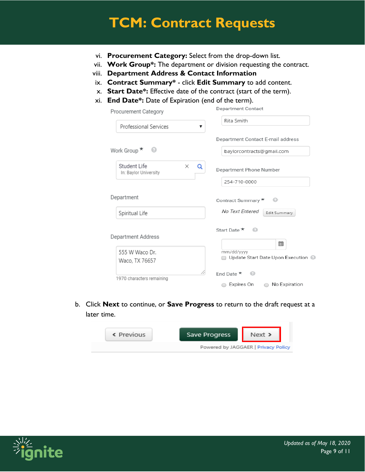- vi. **Procurement Category:** Select from the drop-down list.
- vii. **Work Group\*:** The department or division requesting the contract.
- viii. **Department Address & Contact Information**
- ix. **Contract Summary\*** click **Edit Summary** to add content.
- x. **Start Date\*:** Effective date of the contract (start of the term).
- xi. **End Date\*:** Date of Expiration (end of the term).

| Procurement Category                                   | Department Contact                               |
|--------------------------------------------------------|--------------------------------------------------|
| Professional Services<br>▼                             | Rita Smith                                       |
|                                                        | Department Contact E-mail address                |
| Work Group $\star$<br>- 0                              | baylorcontracts@gmail.com                        |
| Student Life<br>$\times$<br>Q<br>In: Baylor University | Department Phone Number<br>254-710-0000          |
| Department                                             | Contract Summary *                               |
| Spiritual Life                                         | No Text Entered<br>Edit Summary                  |
| Department Address                                     | Start Date ★<br>⋒<br>餔                           |
| 555 W Waco Dr.<br>Waco, TX 76657                       | mm/dd/yyyy<br>Update Start Date Upon Execution @ |
| 1970 characters remaining                              | End Date $\star$<br>െ                            |
|                                                        | Expires On<br>◯ No Expiration                    |

b. Click **Next** to continue, or **Save Progress** to return to the draft request at a later time.



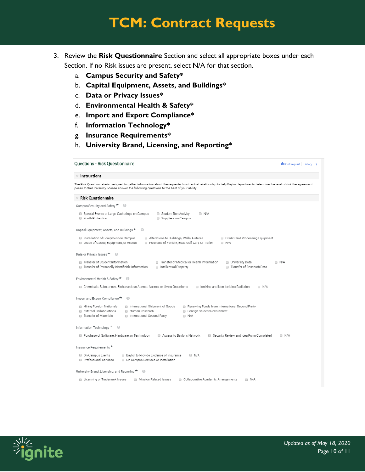- 3. Review the **Risk Questionnaire** Section and select all appropriate boxes under each Section. If no Risk issues are present, select N/A for that section.
	- a. **Campus Security and Safety\***
	- b. **Capital Equipment, Assets, and Buildings\***
	- c. **Data or Privacy Issues\***
	- d. **Environmental Health & Safety\***
	- e. **Import and Export Compliance\***
	- f. **Information Technology\***
	- g. **Insurance Requirements\***
	- h. **University Brand, Licensing, and Reporting\***

```
Questions - Risk Questionnaire
                                                                                                                   O Print Request | History | ?
\times Instructions
The Risk Questionnaire is designed to gather information about the requested contractual relationship to help Baylor departments determine the level of risk the agreement
poses to the University. Please answer the following questions to the best of your ability.
\times Risk Questionnaire
Campus Security and Safety \star \qquad \circSpecial Events or Large Gatherings on Campus 
<sub>1111</sub> Student Run Activity
                                                                     N/AVouth Protection
                                            Suppliers on Campus
Capital Equipment, Assets, and Buildings \star \quad \circledcircInstallation of Equipment on Campus III Alterations to Buildings, Walls, Fixtures
                                                                               Credit Card Processing Equipment
  ■ Lease of Goods, Equipment, or Assets ■ Purchase of Vehicle, Boat, Golf Cart, Or Trailer ■ N/A
Data or Privacy Issues ★ ©
 \Box N/ATransfer of Research Data
Environmental Health & Safety * ©
  □ Chemicals, Substances, Biohazardous Agents, Agents, or Living Organisms □ lonizing and Non-ionizing Radiation □ N/A
Import and Export Compliance \star \qquad \circledcircInformation Technology * ©
 Purchase of Software, Hardware, or Technology \qquad\Box\, Access to Baylor's Network \qquad\Box\, Security Review and Idea Form Completed \qquad\Box\, N/A
Insurance Requirements \starProfessional Services (D) On-Campus Services or Installation
University Brand, Licensing, and Reporting \star \qquad \circledcirc□ Licensing or Trademark Issues □ Mission Related Issues □ Collaborative Academic Arrangements □ N/A
```